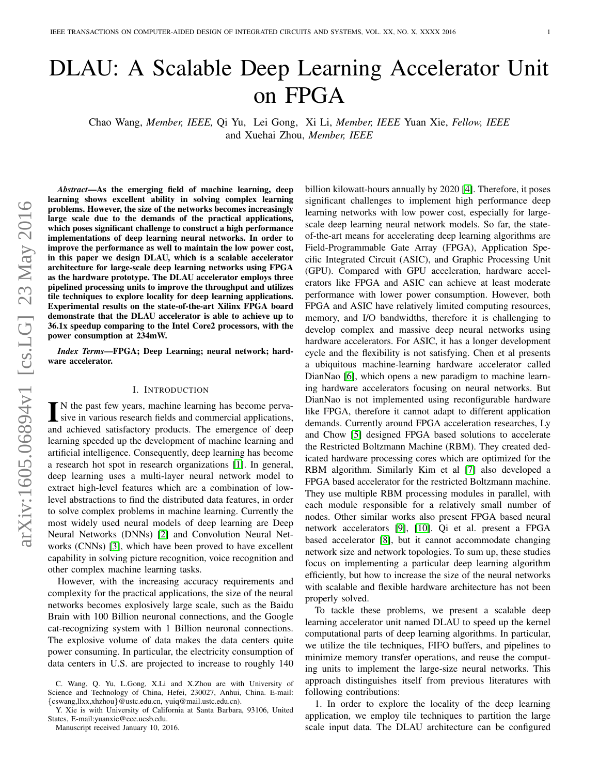# DLAU: A Scalable Deep Learning Accelerator Unit on FPGA

Chao Wang, *Member, IEEE,* Qi Yu, Lei Gong, Xi Li, *Member, IEEE* Yuan Xie, *Fellow, IEEE* and Xuehai Zhou, *Member, IEEE*

*Abstract*—As the emerging field of machine learning, deep learning shows excellent ability in solving complex learning problems. However, the size of the networks becomes increasingly large scale due to the demands of the practical applications, which poses significant challenge to construct a high performance implementations of deep learning neural networks. In order to improve the performance as well to maintain the low power cost, in this paper we design DLAU, which is a scalable accelerator architecture for large-scale deep learning networks using FPGA as the hardware prototype. The DLAU accelerator employs three pipelined processing units to improve the throughput and utilizes tile techniques to explore locality for deep learning applications. Experimental results on the state-of-the-art Xilinx FPGA board demonstrate that the DLAU accelerator is able to achieve up to 36.1x speedup comparing to the Intel Core2 processors, with the power consumption at 234mW.

*Index Terms*—FPGA; Deep Learning; neural network; hardware accelerator.

#### I. INTRODUCTION

 $\prod_{n=1}^{\infty}$  N the past few years, machine learning has become pervasive in various research fields and commercial applications, N the past few years, machine learning has become pervaand achieved satisfactory products. The emergence of deep learning speeded up the development of machine learning and artificial intelligence. Consequently, deep learning has become a research hot spot in research organizations [\[1\]](#page-4-0). In general, deep learning uses a multi-layer neural network model to extract high-level features which are a combination of lowlevel abstractions to find the distributed data features, in order to solve complex problems in machine learning. Currently the most widely used neural models of deep learning are Deep Neural Networks (DNNs) [\[2\]](#page-4-1) and Convolution Neural Networks (CNNs) [\[3\]](#page-4-2), which have been proved to have excellent capability in solving picture recognition, voice recognition and other complex machine learning tasks.

However, with the increasing accuracy requirements and complexity for the practical applications, the size of the neural networks becomes explosively large scale, such as the Baidu Brain with 100 Billion neuronal connections, and the Google cat-recognizing system with 1 Billion neuronal connections. The explosive volume of data makes the data centers quite power consuming. In particular, the electricity consumption of data centers in U.S. are projected to increase to roughly 140

Y. Xie is with University of California at Santa Barbara, 93106, United States, E-mail:yuanxie@ece.ucsb.edu.

Manuscript received January 10, 2016.

billion kilowatt-hours annually by 2020 [\[4\]](#page-4-3). Therefore, it poses significant challenges to implement high performance deep learning networks with low power cost, especially for largescale deep learning neural network models. So far, the stateof-the-art means for accelerating deep learning algorithms are Field-Programmable Gate Array (FPGA), Application Specific Integrated Circuit (ASIC), and Graphic Processing Unit (GPU). Compared with GPU acceleration, hardware accelerators like FPGA and ASIC can achieve at least moderate performance with lower power consumption. However, both FPGA and ASIC have relatively limited computing resources, memory, and I/O bandwidths, therefore it is challenging to develop complex and massive deep neural networks using hardware accelerators. For ASIC, it has a longer development cycle and the flexibility is not satisfying. Chen et al presents a ubiquitous machine-learning hardware accelerator called DianNao [\[6\]](#page-4-4), which opens a new paradigm to machine learning hardware accelerators focusing on neural networks. But DianNao is not implemented using reconfigurable hardware like FPGA, therefore it cannot adapt to different application demands. Currently around FPGA acceleration researches, Ly and Chow [\[5\]](#page-4-5) designed FPGA based solutions to accelerate the Restricted Boltzmann Machine (RBM). They created dedicated hardware processing cores which are optimized for the RBM algorithm. Similarly Kim et al [\[7\]](#page-4-6) also developed a FPGA based accelerator for the restricted Boltzmann machine. They use multiple RBM processing modules in parallel, with each module responsible for a relatively small number of nodes. Other similar works also present FPGA based neural network accelerators [\[9\]](#page-4-7), [\[10\]](#page-4-8). Qi et al. present a FPGA based accelerator [\[8\]](#page-4-9), but it cannot accommodate changing network size and network topologies. To sum up, these studies focus on implementing a particular deep learning algorithm efficiently, but how to increase the size of the neural networks with scalable and flexible hardware architecture has not been properly solved.

To tackle these problems, we present a scalable deep learning accelerator unit named DLAU to speed up the kernel computational parts of deep learning algorithms. In particular, we utilize the tile techniques, FIFO buffers, and pipelines to minimize memory transfer operations, and reuse the computing units to implement the large-size neural networks. This approach distinguishes itself from previous literatures with following contributions:

1. In order to explore the locality of the deep learning application, we employ tile techniques to partition the large scale input data. The DLAU architecture can be configured

C. Wang, Q. Yu, L.Gong, X.Li and X.Zhou are with University of Science and Technology of China, Hefei, 230027, Anhui, China. E-mail: {cswang,llxx,xhzhou}@ustc.edu.cn, yuiq@mail.ustc.edu.cn).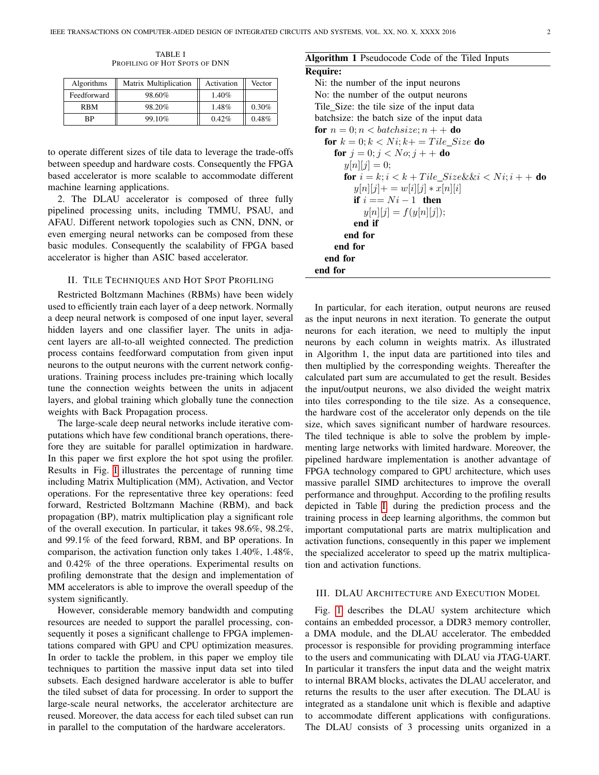TABLE I PROFILING OF HOT SPOTS OF DNN

<span id="page-1-0"></span>

| Algorithms  | Matrix Multiplication | Activation | Vector |
|-------------|-----------------------|------------|--------|
| Feedforward | 98.60%                | 1.40%      |        |
| RBM         | 98.20%                | 1.48%      | 0.30%  |
| ВP          | 99.10%                | 0.42%      | 0.48%  |

to operate different sizes of tile data to leverage the trade-offs between speedup and hardware costs. Consequently the FPGA based accelerator is more scalable to accommodate different machine learning applications.

2. The DLAU accelerator is composed of three fully pipelined processing units, including TMMU, PSAU, and AFAU. Different network topologies such as CNN, DNN, or even emerging neural networks can be composed from these basic modules. Consequently the scalability of FPGA based accelerator is higher than ASIC based accelerator.

# II. TILE TECHNIQUES AND HOT SPOT PROFILING

Restricted Boltzmann Machines (RBMs) have been widely used to efficiently train each layer of a deep network. Normally a deep neural network is composed of one input layer, several hidden layers and one classifier layer. The units in adjacent layers are all-to-all weighted connected. The prediction process contains feedforward computation from given input neurons to the output neurons with the current network configurations. Training process includes pre-training which locally tune the connection weights between the units in adjacent layers, and global training which globally tune the connection weights with Back Propagation process.

The large-scale deep neural networks include iterative computations which have few conditional branch operations, therefore they are suitable for parallel optimization in hardware. In this paper we first explore the hot spot using the profiler. Results in Fig. [I](#page-1-0) illustrates the percentage of running time including Matrix Multiplication (MM), Activation, and Vector operations. For the representative three key operations: feed forward, Restricted Boltzmann Machine (RBM), and back propagation (BP), matrix multiplication play a significant role of the overall execution. In particular, it takes 98.6%, 98.2%, and 99.1% of the feed forward, RBM, and BP operations. In comparison, the activation function only takes 1.40%, 1.48%, and 0.42% of the three operations. Experimental results on profiling demonstrate that the design and implementation of MM accelerators is able to improve the overall speedup of the system significantly.

However, considerable memory bandwidth and computing resources are needed to support the parallel processing, consequently it poses a significant challenge to FPGA implementations compared with GPU and CPU optimization measures. In order to tackle the problem, in this paper we employ tile techniques to partition the massive input data set into tiled subsets. Each designed hardware accelerator is able to buffer the tiled subset of data for processing. In order to support the large-scale neural networks, the accelerator architecture are reused. Moreover, the data access for each tiled subset can run in parallel to the computation of the hardware accelerators.

## Algorithm 1 Pseudocode Code of the Tiled Inputs

#### Require:

Ni: the number of the input neurons No: the number of the output neurons Tile Size: the tile size of the input data batchsize: the batch size of the input data for  $n = 0$ ;  $n <$  batchsize;  $n + +$  do for  $k = 0; k < N$ *i*;  $k+ =$  Tile Size do for  $j = 0; j < No; j + +$  do  $y[n][j] = 0;$ for  $i = k$ ;  $i < k +$  Tile\_Size&&i < Ni;  $i +$  + do  $y[n][j] += w[i][j] * x[n][i]$ if  $i == Ni - 1$  then  $y[n][j] = f(y[n][j]);$ end if end for end for end for end for

In particular, for each iteration, output neurons are reused as the input neurons in next iteration. To generate the output neurons for each iteration, we need to multiply the input neurons by each column in weights matrix. As illustrated in Algorithm 1, the input data are partitioned into tiles and then multiplied by the corresponding weights. Thereafter the calculated part sum are accumulated to get the result. Besides the input/output neurons, we also divided the weight matrix into tiles corresponding to the tile size. As a consequence, the hardware cost of the accelerator only depends on the tile size, which saves significant number of hardware resources. The tiled technique is able to solve the problem by implementing large networks with limited hardware. Moreover, the pipelined hardware implementation is another advantage of FPGA technology compared to GPU architecture, which uses massive parallel SIMD architectures to improve the overall performance and throughput. According to the profiling results depicted in Table [I,](#page-1-0) during the prediction process and the training process in deep learning algorithms, the common but important computational parts are matrix multiplication and activation functions, consequently in this paper we implement the specialized accelerator to speed up the matrix multiplication and activation functions.

## III. DLAU ARCHITECTURE AND EXECUTION MODEL

Fig. [1](#page-2-0) describes the DLAU system architecture which contains an embedded processor, a DDR3 memory controller, a DMA module, and the DLAU accelerator. The embedded processor is responsible for providing programming interface to the users and communicating with DLAU via JTAG-UART. In particular it transfers the input data and the weight matrix to internal BRAM blocks, activates the DLAU accelerator, and returns the results to the user after execution. The DLAU is integrated as a standalone unit which is flexible and adaptive to accommodate different applications with configurations. The DLAU consists of 3 processing units organized in a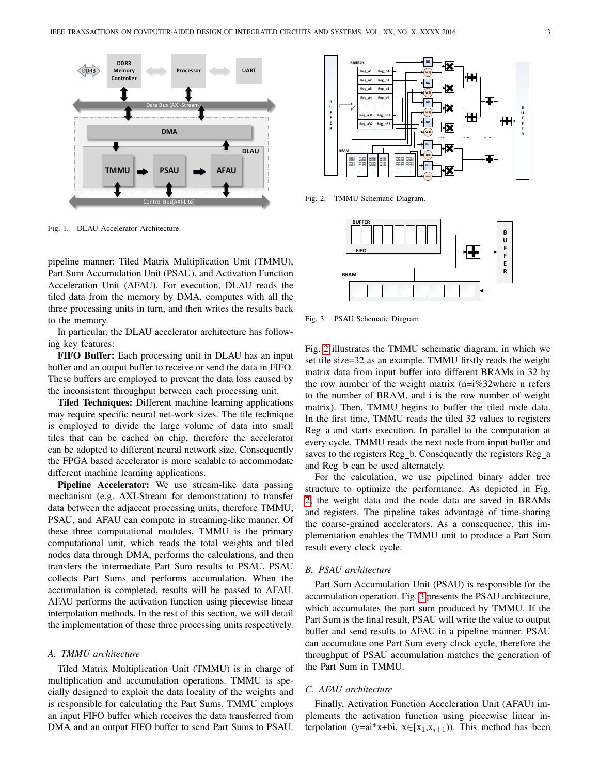

<span id="page-2-0"></span>Fig. 1. DLAU Accelerator Architecture.

pipeline manner: Tiled Matrix Multiplication Unit (TMMU), Part Sum Accumulation Unit (PSAU), and Activation Function Acceleration Unit (AFAU). For execution, DLAU reads the tiled data from the memory by DMA, computes with all the three processing units in turn, and then writes the results back to the memory.

In particular, the DLAU accelerator architecture has following key features:

FIFO Buffer: Each processing unit in DLAU has an input buffer and an output buffer to receive or send the data in FIFO. These buffers are employed to prevent the data loss caused by the inconsistent throughput between each processing unit.

Tiled Techniques: Different machine learning applications may require specific neural net-work sizes. The tile technique is employed to divide the large volume of data into small tiles that can be cached on chip, therefore the accelerator can be adopted to different neural network size. Consequently the FPGA based accelerator is more scalable to accommodate different machine learning applications.

Pipeline Accelerator: We use stream-like data passing mechanism (e.g. AXI-Stream for demonstration) to transfer data between the adjacent processing units, therefore TMMU, PSAU, and AFAU can compute in streaming-like manner. Of these three computational modules, TMMU is the primary computational unit, which reads the total weights and tiled nodes data through DMA, performs the calculations, and then transfers the intermediate Part Sum results to PSAU. PSAU collects Part Sums and performs accumulation. When the accumulation is completed, results will be passed to AFAU. AFAU performs the activation function using piecewise linear interpolation methods. In the rest of this section, we will detail the implementation of these three processing units respectively.

#### *A. TMMU architecture*

Tiled Matrix Multiplication Unit (TMMU) is in charge of multiplication and accumulation operations. TMMU is specially designed to exploit the data locality of the weights and is responsible for calculating the Part Sums. TMMU employs an input FIFO buffer which receives the data transferred from DMA and an output FIFO buffer to send Part Sums to PSAU.



Fig. 2. TMMU Schematic Diagram.

<span id="page-2-1"></span>

<span id="page-2-2"></span>Fig. 3. PSAU Schematic Diagram

Fig. [2](#page-2-1) illustrates the TMMU schematic diagram, in which we set tile size=32 as an example. TMMU firstly reads the weight matrix data from input buffer into different BRAMs in 32 by the row number of the weight matrix  $(n=i\%32)$  where n refers to the number of BRAM, and i is the row number of weight matrix). Then, TMMU begins to buffer the tiled node data. In the first time, TMMU reads the tiled 32 values to registers Reg<sub>ra</sub> and starts execution. In parallel to the computation at every cycle, TMMU reads the next node from input buffer and saves to the registers Reg b. Consequently the registers Reg a and Reg<sub>1</sub>b can be used alternately.

For the calculation, we use pipelined binary adder tree structure to optimize the performance. As depicted in Fig. [2,](#page-2-1) the weight data and the node data are saved in BRAMs and registers. The pipeline takes advantage of time-sharing the coarse-grained accelerators. As a consequence, this implementation enables the TMMU unit to produce a Part Sum result every clock cycle.

#### *B. PSAU architecture*

Part Sum Accumulation Unit (PSAU) is responsible for the accumulation operation. Fig. [3](#page-2-2) presents the PSAU architecture, which accumulates the part sum produced by TMMU. If the Part Sum is the final result, PSAU will write the value to output buffer and send results to AFAU in a pipeline manner. PSAU can accumulate one Part Sum every clock cycle, therefore the throughput of PSAU accumulation matches the generation of the Part Sum in TMMU.

# *C. AFAU architecture*

Finally, Activation Function Acceleration Unit (AFAU) implements the activation function using piecewise linear interpolation (y=ai\*x+bi,  $x \in [x_1, x_{i+1})$ ). This method has been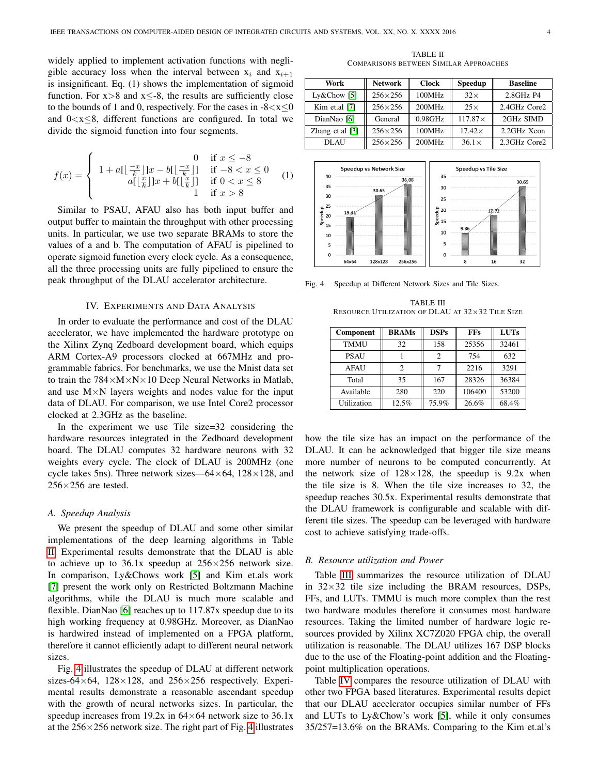widely applied to implement activation functions with negligible accuracy loss when the interval between  $x_i$  and  $x_{i+1}$ is insignificant. Eq. (1) shows the implementation of sigmoid function. For  $x>8$  and  $x\leq -8$ , the results are sufficiently close to the bounds of 1 and 0, respectively. For the cases in  $-8 < x \le 0$ and  $0 < x \le 8$ , different functions are configured. In total we divide the sigmoid function into four segments.

$$
f(x) = \begin{cases} 1 + a[\lfloor \frac{-x}{k} \rfloor]x - b[\lfloor \frac{-x}{k} \rfloor] & \text{if } -8 < x \le 0\\ a[\lfloor \frac{x}{k} \rfloor]x + b[\lfloor \frac{x}{k} \rfloor] & \text{if } 0 < x \le 8\\ 1 & \text{if } x > 8 \end{cases}
$$
(1)

Similar to PSAU, AFAU also has both input buffer and output buffer to maintain the throughput with other processing units. In particular, we use two separate BRAMs to store the values of a and b. The computation of AFAU is pipelined to operate sigmoid function every clock cycle. As a consequence, all the three processing units are fully pipelined to ensure the peak throughput of the DLAU accelerator architecture.

#### IV. EXPERIMENTS AND DATA ANALYSIS

In order to evaluate the performance and cost of the DLAU accelerator, we have implemented the hardware prototype on the Xilinx Zynq Zedboard development board, which equips ARM Cortex-A9 processors clocked at 667MHz and programmable fabrics. For benchmarks, we use the Mnist data set to train the  $784 \times M \times N \times 10$  Deep Neural Networks in Matlab, and use  $M \times N$  layers weights and nodes value for the input data of DLAU. For comparison, we use Intel Core2 processor clocked at 2.3GHz as the baseline.

In the experiment we use Tile size=32 considering the hardware resources integrated in the Zedboard development board. The DLAU computes 32 hardware neurons with 32 weights every cycle. The clock of DLAU is 200MHz (one cycle takes 5ns). Three network sizes—64 $\times$ 64, 128 $\times$ 128, and  $256\times256$  are tested.

#### *A. Speedup Analysis*

We present the speedup of DLAU and some other similar implementations of the deep learning algorithms in Table [II.](#page-3-0) Experimental results demonstrate that the DLAU is able to achieve up to  $36.1x$  speedup at  $256 \times 256$  network size. In comparison, Ly&Chows work [\[5\]](#page-4-5) and Kim et.als work [\[7\]](#page-4-6) present the work only on Restricted Boltzmann Machine algorithms, while the DLAU is much more scalable and flexible. DianNao [\[6\]](#page-4-4) reaches up to 117.87x speedup due to its high working frequency at 0.98GHz. Moreover, as DianNao is hardwired instead of implemented on a FPGA platform, therefore it cannot efficiently adapt to different neural network sizes.

Fig. [4](#page-3-1) illustrates the speedup of DLAU at different network sizes-64 $\times$ 64, 128 $\times$ 128, and 256 $\times$ 256 respectively. Experimental results demonstrate a reasonable ascendant speedup with the growth of neural networks sizes. In particular, the speedup increases from 19.2x in  $64\times64$  network size to 36.1x at the  $256 \times 256$  network size. The right part of Fig. [4](#page-3-1) illustrates

TABLE II COMPARISONS BETWEEN SIMILAR APPROACHES

<span id="page-3-0"></span>

| Work              | <b>Network</b>   | <b>Clock</b> | Speedup        | <b>Baseline</b> |
|-------------------|------------------|--------------|----------------|-----------------|
| Ly&Chow [5]       | $256 \times 256$ | 100MHz       | $32\times$     | 2.8GHz P4       |
| Kim et.al [7]     | $256 \times 256$ | 200MHz       | $25\times$     | 2.4GHz Core2    |
| DianNao [6]       | General          | $0.98$ GHz   | $117.87\times$ | 2GHz SIMD       |
| Zhang et.al $[3]$ | $256 \times 256$ | 100MHz       | $17.42\times$  | 2.2GHz Xeon     |
| DLAU              | $256\times256$   | 200MHz       | $36.1\times$   | 2.3GHz Core2    |



<span id="page-3-2"></span>Fig. 4. Speedup at Different Network Sizes and Tile Sizes.

<span id="page-3-1"></span>TABLE III RESOURCE UTILIZATION OF DLAU AT 32×32 TILE SIZE

| Component   | <b>BRAMs</b> | <b>DSPs</b> | <b>FFs</b> | <b>LUTs</b> |
|-------------|--------------|-------------|------------|-------------|
| <b>TMMU</b> | 32           | 158         | 25356      | 32461       |
| <b>PSAU</b> |              | 2           | 754        | 632         |
| <b>AFAU</b> | 2            |             | 2216       | 3291        |
| Total       | 35           | 167         | 28326      | 36384       |
| Available   | 280          | 220         | 106400     | 53200       |
| Utilization | 12.5%        | 75.9%       | 26.6%      | 68.4%       |

how the tile size has an impact on the performance of the DLAU. It can be acknowledged that bigger tile size means more number of neurons to be computed concurrently. At the network size of  $128 \times 128$ , the speedup is  $9.2x$  when the tile size is 8. When the tile size increases to 32, the speedup reaches 30.5x. Experimental results demonstrate that the DLAU framework is configurable and scalable with different tile sizes. The speedup can be leveraged with hardware cost to achieve satisfying trade-offs.

#### *B. Resource utilization and Power*

Table [III](#page-3-2) summarizes the resource utilization of DLAU in  $32\times32$  tile size including the BRAM resources, DSPs, FFs, and LUTs. TMMU is much more complex than the rest two hardware modules therefore it consumes most hardware resources. Taking the limited number of hardware logic resources provided by Xilinx XC7Z020 FPGA chip, the overall utilization is reasonable. The DLAU utilizes 167 DSP blocks due to the use of the Floating-point addition and the Floatingpoint multiplication operations.

Table [IV](#page-4-10) compares the resource utilization of DLAU with other two FPGA based literatures. Experimental results depict that our DLAU accelerator occupies similar number of FFs and LUTs to Ly&Chow's work [\[5\]](#page-4-5), while it only consumes 35/257=13.6% on the BRAMs. Comparing to the Kim et.al's